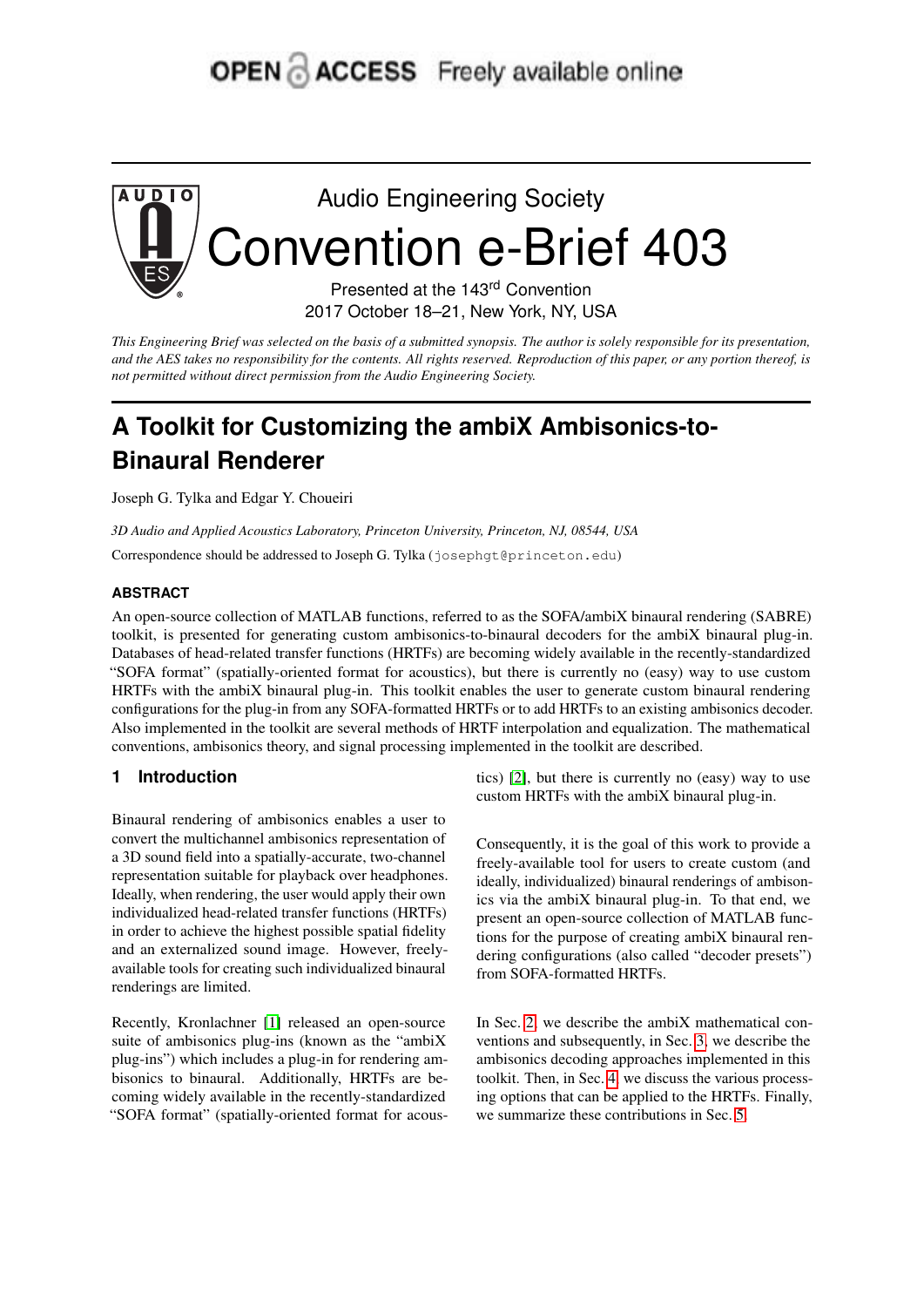# **OPEN ACCESS** Freely available online



*This Engineering Brief was selected on the basis of a submitted synopsis. The author is solely responsible for its presentation, and the AES takes no responsibility for the contents. All rights reserved. Reproduction of this paper, or any portion thereof, is not permitted without direct permission from the Audio Engineering Society.*

## **A Toolkit for Customizing the ambiX Ambisonics-to-Binaural Renderer**

Joseph G. Tylka and Edgar Y. Choueiri

*3D Audio and Applied Acoustics Laboratory, Princeton University, Princeton, NJ, 08544, USA*

Correspondence should be addressed to Joseph G. Tylka (josephgt@princeton.edu)

#### **ABSTRACT**

An open-source collection of MATLAB functions, referred to as the SOFA/ambiX binaural rendering (SABRE) toolkit, is presented for generating custom ambisonics-to-binaural decoders for the ambiX binaural plug-in. Databases of head-related transfer functions (HRTFs) are becoming widely available in the recently-standardized "SOFA format" (spatially-oriented format for acoustics), but there is currently no (easy) way to use custom HRTFs with the ambiX binaural plug-in. This toolkit enables the user to generate custom binaural rendering configurations for the plug-in from any SOFA-formatted HRTFs or to add HRTFs to an existing ambisonics decoder. Also implemented in the toolkit are several methods of HRTF interpolation and equalization. The mathematical conventions, ambisonics theory, and signal processing implemented in the toolkit are described.

## **1 Introduction**

Binaural rendering of ambisonics enables a user to convert the multichannel ambisonics representation of a 3D sound field into a spatially-accurate, two-channel representation suitable for playback over headphones. Ideally, when rendering, the user would apply their own individualized head-related transfer functions (HRTFs) in order to achieve the highest possible spatial fidelity and an externalized sound image. However, freelyavailable tools for creating such individualized binaural renderings are limited.

Recently, Kronlachner [\[1\]](#page-4-0) released an open-source suite of ambisonics plug-ins (known as the "ambiX plug-ins") which includes a plug-in for rendering ambisonics to binaural. Additionally, HRTFs are becoming widely available in the recently-standardized "SOFA format" (spatially-oriented format for acous-

tics) [\[2\]](#page-4-1), but there is currently no (easy) way to use custom HRTFs with the ambiX binaural plug-in.

Consequently, it is the goal of this work to provide a freely-available tool for users to create custom (and ideally, individualized) binaural renderings of ambisonics via the ambiX binaural plug-in. To that end, we present an open-source collection of MATLAB functions for the purpose of creating ambiX binaural rendering configurations (also called "decoder presets") from SOFA-formatted HRTFs.

In Sec. [2,](#page-1-0) we describe the ambiX mathematical conventions and subsequently, in Sec. [3,](#page-1-1) we describe the ambisonics decoding approaches implemented in this toolkit. Then, in Sec. [4,](#page-2-0) we discuss the various processing options that can be applied to the HRTFs. Finally, we summarize these contributions in Sec. [5.](#page-4-2)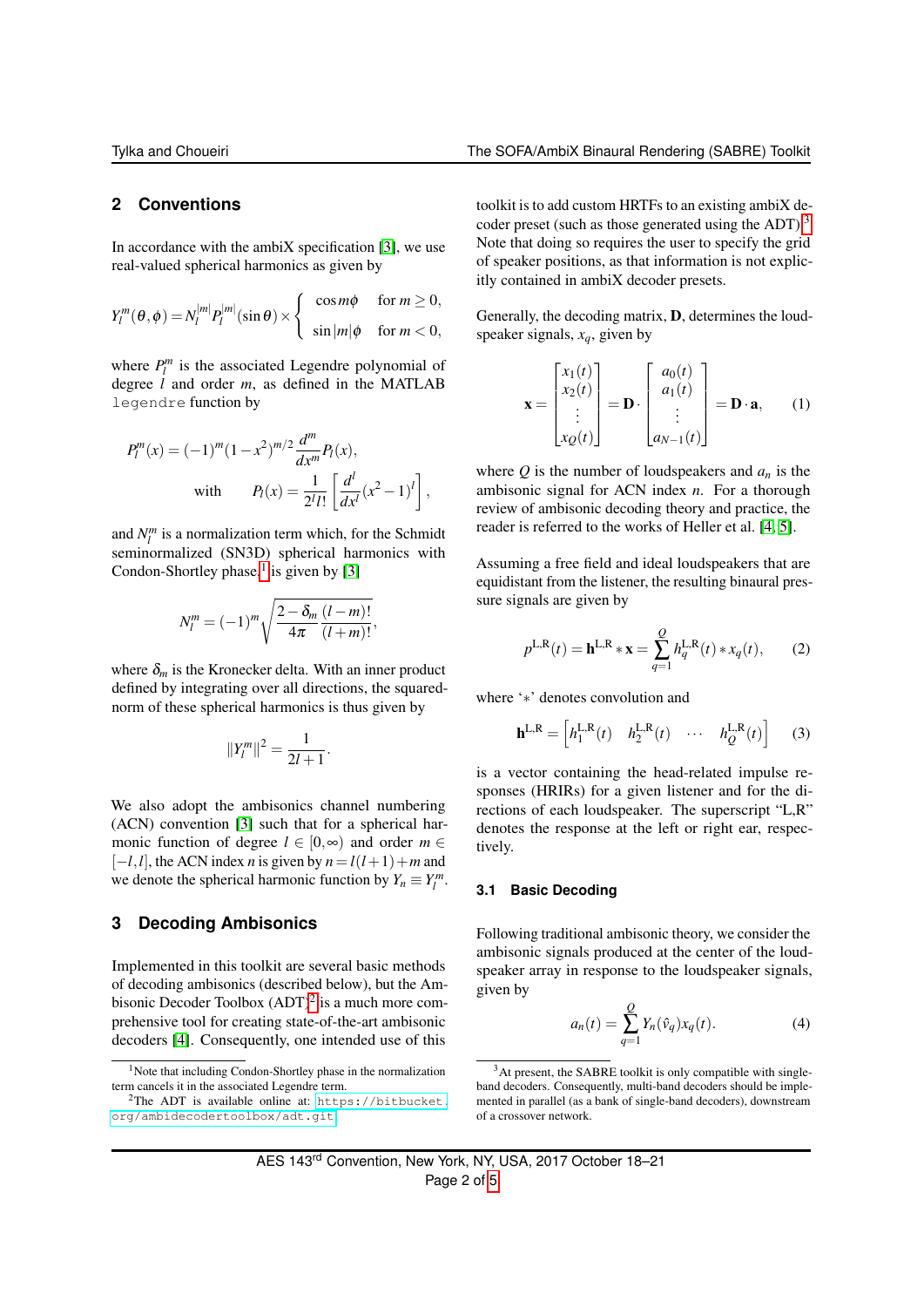## <span id="page-1-0"></span>**2 Conventions**

In accordance with the ambiX specification  $[3]$ , we use real-valued spherical harmonics as given by

$$
Y_l^m(\theta,\phi) = N_l^{|m|} P_l^{|m|}(\sin\theta) \times \begin{cases} \cos m\phi & \text{for } m \ge 0, \\ \sin |m|\phi & \text{for } m < 0, \end{cases}
$$

where  $P_l^m$  is the associated Legendre polynomial of degree *l* and order *m*, as defined in the MATLAB legendre function by

$$
P_l^m(x) = (-1)^m (1 - x^2)^{m/2} \frac{d^m}{dx^m} P_l(x),
$$
  
with 
$$
P_l(x) = \frac{1}{2^l l!} \left[ \frac{d^l}{dx^l} (x^2 - 1)^l \right],
$$

and  $N_l^m$  is a normalization term which, for the Schmidt seminormalized (SN3D) spherical harmonics with Condon-Shortley phase, $\frac{1}{1}$  $\frac{1}{1}$  $\frac{1}{1}$  is given by [\[3\]](#page-4-3)

$$
N_l^m = (-1)^m \sqrt{\frac{2 - \delta_m (l - m)!}{4\pi (l + m)!}},
$$

where  $\delta_m$  is the Kronecker delta. With an inner product defined by integrating over all directions, the squarednorm of these spherical harmonics is thus given by

$$
||Y_l^m||^2 = \frac{1}{2l+1}.
$$

We also adopt the ambisonics channel numbering (ACN) convention [\[3\]](#page-4-3) such that for a spherical harmonic function of degree  $l \in [0, \infty)$  and order  $m \in$  $[-l, l]$ , the ACN index *n* is given by  $n = l(l+1) + m$  and we denote the spherical harmonic function by  $Y_n \equiv Y_l^m$ .

## <span id="page-1-1"></span>**3 Decoding Ambisonics**

Implemented in this toolkit are several basic methods of decoding ambisonics (described below), but the Ambisonic Decoder Toolbox  $(ADT)^2$  $(ADT)^2$  is a much more comprehensive tool for creating state-of-the-art ambisonic decoders [\[4\]](#page-4-4). Consequently, one intended use of this

toolkit is to add custom HRTFs to an existing ambiX de-coder preset (such as those generated using the ADT).<sup>[3](#page-1-4)</sup> Note that doing so requires the user to specify the grid of speaker positions, as that information is not explicitly contained in ambiX decoder presets.

Generally, the decoding matrix, D, determines the loudspeaker signals, *xq*, given by

$$
\mathbf{x} = \begin{bmatrix} x_1(t) \\ x_2(t) \\ \vdots \\ x_Q(t) \end{bmatrix} = \mathbf{D} \cdot \begin{bmatrix} a_0(t) \\ a_1(t) \\ \vdots \\ a_{N-1}(t) \end{bmatrix} = \mathbf{D} \cdot \mathbf{a}, \qquad (1)
$$

where  $Q$  is the number of loudspeakers and  $a_n$  is the ambisonic signal for ACN index *n*. For a thorough review of ambisonic decoding theory and practice, the reader is referred to the works of Heller et al. [\[4,](#page-4-4) [5\]](#page-4-5).

Assuming a free field and ideal loudspeakers that are equidistant from the listener, the resulting binaural pressure signals are given by

$$
p^{\text{L,R}}(t) = \mathbf{h}^{\text{L,R}} * \mathbf{x} = \sum_{q=1}^{Q} h_q^{\text{L,R}}(t) * x_q(t), \qquad (2)
$$

where '∗' denotes convolution and

$$
\mathbf{h}^{\mathbf{L},\mathbf{R}} = \begin{bmatrix} h_1^{\mathbf{L},\mathbf{R}}(t) & h_2^{\mathbf{L},\mathbf{R}}(t) & \cdots & h_Q^{\mathbf{L},\mathbf{R}}(t) \end{bmatrix} \tag{3}
$$

is a vector containing the head-related impulse responses (HRIRs) for a given listener and for the directions of each loudspeaker. The superscript "L,R" denotes the response at the left or right ear, respectively.

#### **3.1 Basic Decoding**

Following traditional ambisonic theory, we consider the ambisonic signals produced at the center of the loudspeaker array in response to the loudspeaker signals, given by

$$
a_n(t) = \sum_{q=1}^{Q} Y_n(\hat{v}_q) x_q(t).
$$
 (4)

<span id="page-1-2"></span><sup>&</sup>lt;sup>1</sup>Note that including Condon-Shortley phase in the normalization term cancels it in the associated Legendre term.

<span id="page-1-3"></span><sup>&</sup>lt;sup>2</sup>The ADT is available online at: [https://bitbucket.](https://bitbucket.org/ambidecodertoolbox/adt.git) [org/ambidecodertoolbox/adt.git](https://bitbucket.org/ambidecodertoolbox/adt.git)

<span id="page-1-4"></span> $3$ At present, the SABRE toolkit is only compatible with singleband decoders. Consequently, multi-band decoders should be implemented in parallel (as a bank of single-band decoders), downstream of a crossover network.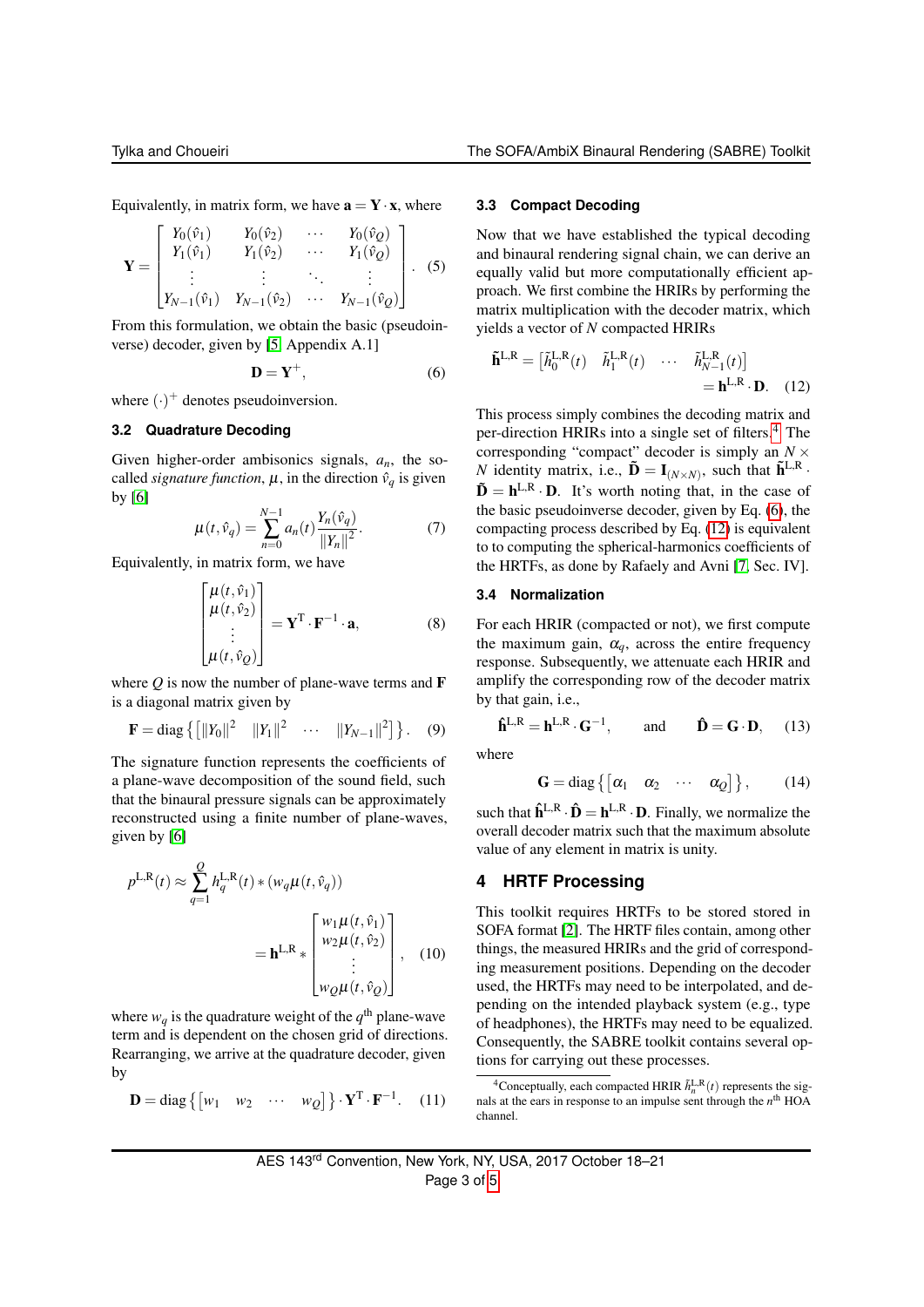Equivalently, in matrix form, we have  $\mathbf{a} = \mathbf{Y} \cdot \mathbf{x}$ , where

$$
\mathbf{Y} = \begin{bmatrix} Y_0(\hat{v}_1) & Y_0(\hat{v}_2) & \cdots & Y_0(\hat{v}_Q) \\ Y_1(\hat{v}_1) & Y_1(\hat{v}_2) & \cdots & Y_1(\hat{v}_Q) \\ \vdots & \vdots & \ddots & \vdots \\ Y_{N-1}(\hat{v}_1) & Y_{N-1}(\hat{v}_2) & \cdots & Y_{N-1}(\hat{v}_Q) \end{bmatrix} .
$$
 (5)

From this formulation, we obtain the basic (pseudoinverse) decoder, given by [\[5,](#page-4-5) Appendix A.1]

$$
\mathbf{D} = \mathbf{Y}^+, \tag{6}
$$

where  $(\cdot)^+$  denotes pseudoinversion.

#### **3.2 Quadrature Decoding**

Given higher-order ambisonics signals, *an*, the socalled *signature function*,  $\mu$ , in the direction  $\hat{v}_q$  is given by [\[6\]](#page-4-7)

$$
\mu(t, \hat{v}_q) = \sum_{n=0}^{N-1} a_n(t) \frac{Y_n(\hat{v}_q)}{\|Y_n\|^2}.
$$
 (7)

Equivalently, in matrix form, we have

$$
\begin{bmatrix}\n\mu(t, \hat{v}_1) \\
\mu(t, \hat{v}_2) \\
\vdots \\
\mu(t, \hat{v}_Q)\n\end{bmatrix} = \mathbf{Y}^{\mathrm{T}} \cdot \mathbf{F}^{-1} \cdot \mathbf{a},
$$
\n(8)

where  $Q$  is now the number of plane-wave terms and  $\bf{F}$ is a diagonal matrix given by

$$
\mathbf{F} = \text{diag} \left\{ \left[ ||Y_0||^2 ||Y_1||^2 \cdots ||Y_{N-1}||^2 \right] \right\}. \quad (9)
$$

The signature function represents the coefficients of a plane-wave decomposition of the sound field, such that the binaural pressure signals can be approximately reconstructed using a finite number of plane-waves, given by [\[6\]](#page-4-7)

$$
p^{\text{L,R}}(t) \approx \sum_{q=1}^{Q} h_q^{\text{L,R}}(t) * (w_q \mu(t, \hat{v}_q))
$$
  
= 
$$
\mathbf{h}^{\text{L,R}} * \begin{bmatrix} w_1 \mu(t, \hat{v}_1) \\ w_2 \mu(t, \hat{v}_2) \\ \vdots \\ w_Q \mu(t, \hat{v}_Q) \end{bmatrix}, \quad (10)
$$

where  $w_q$  is the quadrature weight of the  $q^{\text{th}}$  plane-wave term and is dependent on the chosen grid of directions. Rearranging, we arrive at the quadrature decoder, given by

$$
\mathbf{D} = \text{diag}\left\{ \begin{bmatrix} w_1 & w_2 & \cdots & w_Q \end{bmatrix} \right\} \cdot \mathbf{Y}^{\mathrm{T}} \cdot \mathbf{F}^{-1}. \tag{11}
$$

#### <span id="page-2-4"></span>**3.3 Compact Decoding**

Now that we have established the typical decoding and binaural rendering signal chain, we can derive an equally valid but more computationally efficient approach. We first combine the HRIRs by performing the matrix multiplication with the decoder matrix, which yields a vector of *N* compacted HRIRs

<span id="page-2-3"></span><span id="page-2-2"></span>
$$
\tilde{\mathbf{h}}^{\mathbf{L},\mathbf{R}} = \begin{bmatrix} \tilde{h}_0^{\mathbf{L},\mathbf{R}}(t) & \tilde{h}_1^{\mathbf{L},\mathbf{R}}(t) & \cdots & \tilde{h}_{N-1}^{\mathbf{L},\mathbf{R}}(t) \end{bmatrix} = \mathbf{h}^{\mathbf{L},\mathbf{R}} \cdot \mathbf{D}. \quad (12)
$$

This process simply combines the decoding matrix and per-direction HRIRs into a single set of filters.[4](#page-2-1) The corresponding "compact" decoder is simply an  $N \times$ *N* identity matrix, i.e.,  $\tilde{\mathbf{D}} = \mathbf{I}_{(N \times N)}$ , such that  $\tilde{\mathbf{h}}^{\text{L,R}}$ .  $\tilde{\mathbf{D}} = \mathbf{h}^{\text{L,R}} \cdot \mathbf{D}$ . It's worth noting that, in the case of the basic pseudoinverse decoder, given by Eq. [\(6\)](#page-2-2), the compacting process described by Eq. [\(12\)](#page-2-3) is equivalent to to computing the spherical-harmonics coefficients of the HRTFs, as done by Rafaely and Avni [\[7,](#page-4-8) Sec. IV].

#### **3.4 Normalization**

For each HRIR (compacted or not), we first compute the maximum gain,  $\alpha_a$ , across the entire frequency response. Subsequently, we attenuate each HRIR and amplify the corresponding row of the decoder matrix by that gain, i.e.,

$$
\hat{\mathbf{h}}^{\mathsf{L},\mathsf{R}} = \mathbf{h}^{\mathsf{L},\mathsf{R}} \cdot \mathbf{G}^{-1}, \quad \text{and} \quad \hat{\mathbf{D}} = \mathbf{G} \cdot \mathbf{D}, \quad (13)
$$

where

$$
\mathbf{G} = \text{diag}\left\{ \begin{bmatrix} \alpha_1 & \alpha_2 & \cdots & \alpha_Q \end{bmatrix} \right\},\qquad(14)
$$

such that  $\hat{\mathbf{h}}^{L,R} \cdot \hat{\mathbf{D}} = \mathbf{h}^{L,R} \cdot \mathbf{D}$ . Finally, we normalize the overall decoder matrix such that the maximum absolute value of any element in matrix is unity.

## <span id="page-2-0"></span>**4 HRTF Processing**

This toolkit requires HRTFs to be stored stored in SOFA format [\[2\]](#page-4-1). The HRTF files contain, among other things, the measured HRIRs and the grid of corresponding measurement positions. Depending on the decoder used, the HRTFs may need to be interpolated, and depending on the intended playback system (e.g., type of headphones), the HRTFs may need to be equalized. Consequently, the SABRE toolkit contains several options for carrying out these processes.

<span id="page-2-1"></span><sup>&</sup>lt;sup>4</sup> Conceptually, each compacted HRIR  $\tilde{h}_n^{\text{L,R}}(t)$  represents the signals at the ears in response to an impulse sent through the  $n<sup>th</sup>$  HOA channel.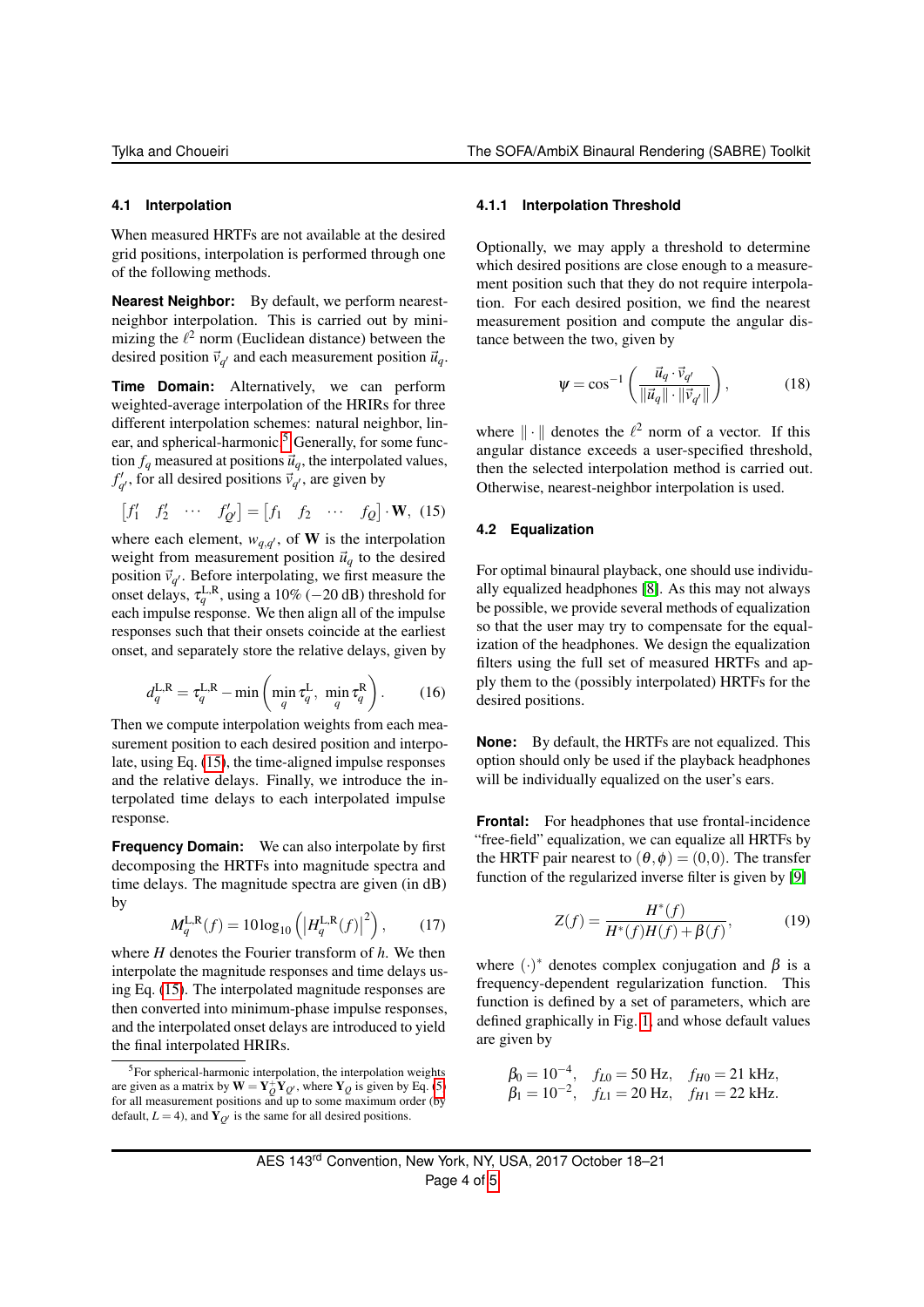#### **4.1 Interpolation**

When measured HRTFs are not available at the desired grid positions, interpolation is performed through one of the following methods.

**Nearest Neighbor:** By default, we perform nearestneighbor interpolation. This is carried out by minimizing the  $\ell^2$  norm (Euclidean distance) between the desired position  $\vec{v}_{q'}$  and each measurement position  $\vec{u}_q$ .

**Time Domain:** Alternatively, we can perform weighted-average interpolation of the HRIRs for three different interpolation schemes: natural neighbor, lin-ear, and spherical-harmonic.<sup>[5](#page-3-0)</sup> Generally, for some function  $f_q$  measured at positions  $\vec{u}_q$ , the interpolated values,  $f'_{q'}$ , for all desired positions  $\vec{v}_{q'}$ , are given by

$$
\begin{bmatrix} f_1' & f_2' & \cdots & f_{Q'}' \end{bmatrix} = \begin{bmatrix} f_1 & f_2 & \cdots & f_Q \end{bmatrix} \cdot \mathbf{W}, \ (15)
$$

where each element,  $w_{q,q'}$ , of **W** is the interpolation weight from measurement position  $\vec{u}_q$  to the desired position  $\vec{v}_{q'}$ . Before interpolating, we first measure the onset delays,  $\tau_q^{\text{L,R}}$ , using a 10% (−20 dB) threshold for each impulse response. We then align all of the impulse responses such that their onsets coincide at the earliest onset, and separately store the relative delays, given by

$$
d_q^{\text{L,R}} = \tau_q^{\text{L,R}} - \min\left(\min_q \tau_q^{\text{L}}, \min_q \tau_q^{\text{R}}\right). \tag{16}
$$

Then we compute interpolation weights from each measurement position to each desired position and interpolate, using Eq. [\(15\)](#page-3-1), the time-aligned impulse responses and the relative delays. Finally, we introduce the interpolated time delays to each interpolated impulse response.

**Frequency Domain:** We can also interpolate by first decomposing the HRTFs into magnitude spectra and time delays. The magnitude spectra are given (in dB) by

$$
M_q^{\text{L,R}}(f) = 10\log_{10}\left(\left|H_q^{\text{L,R}}(f)\right|^2\right),\qquad(17)
$$

where *H* denotes the Fourier transform of *h*. We then interpolate the magnitude responses and time delays using Eq. [\(15\)](#page-3-1). The interpolated magnitude responses are then converted into minimum-phase impulse responses, and the interpolated onset delays are introduced to yield the final interpolated HRIRs.

#### **4.1.1 Interpolation Threshold**

Optionally, we may apply a threshold to determine which desired positions are close enough to a measurement position such that they do not require interpolation. For each desired position, we find the nearest measurement position and compute the angular distance between the two, given by

$$
\Psi = \cos^{-1}\left(\frac{\vec{u}_q \cdot \vec{v}_{q'}}{\|\vec{u}_q\| \cdot \|\vec{v}_{q'}\|}\right),\tag{18}
$$

<span id="page-3-1"></span>where  $\|\cdot\|$  denotes the  $\ell^2$  norm of a vector. If this angular distance exceeds a user-specified threshold, then the selected interpolation method is carried out. Otherwise, nearest-neighbor interpolation is used.

#### **4.2 Equalization**

For optimal binaural playback, one should use individually equalized headphones [\[8\]](#page-4-9). As this may not always be possible, we provide several methods of equalization so that the user may try to compensate for the equalization of the headphones. We design the equalization filters using the full set of measured HRTFs and apply them to the (possibly interpolated) HRTFs for the desired positions.

**None:** By default, the HRTFs are not equalized. This option should only be used if the playback headphones will be individually equalized on the user's ears.

**Frontal:** For headphones that use frontal-incidence "free-field" equalization, we can equalize all HRTFs by the HRTF pair nearest to  $(\theta, \phi) = (0, 0)$ . The transfer function of the regularized inverse filter is given by [\[9\]](#page-4-10)

<span id="page-3-2"></span>
$$
Z(f) = \frac{H^*(f)}{H^*(f)H(f) + \beta(f)},
$$
(19)

where  $(\cdot)^*$  denotes complex conjugation and  $\beta$  is a frequency-dependent regularization function. This function is defined by a set of parameters, which are defined graphically in Fig. [1,](#page-4-11) and whose default values are given by

$$
\beta_0 = 10^{-4}
$$
,  $f_{L0} = 50$  Hz,  $f_{H0} = 21$  kHz,  
\n $\beta_1 = 10^{-2}$ ,  $f_{L1} = 20$  Hz,  $f_{H1} = 22$  kHz.

<span id="page-3-0"></span><sup>&</sup>lt;sup>5</sup>For spherical-harmonic interpolation, the interpolation weights are given as a matrix by  $\mathbf{W} = \mathbf{Y}_Q^+ \mathbf{Y}_{Q}$ , where  $\mathbf{Y}_Q$  is given by Eq. [\(5\)](#page-2-4) for all measurement positions and up to some maximum order (by default,  $L = 4$ ), and  $\hat{Y}_{Q'}$  is the same for all desired positions.